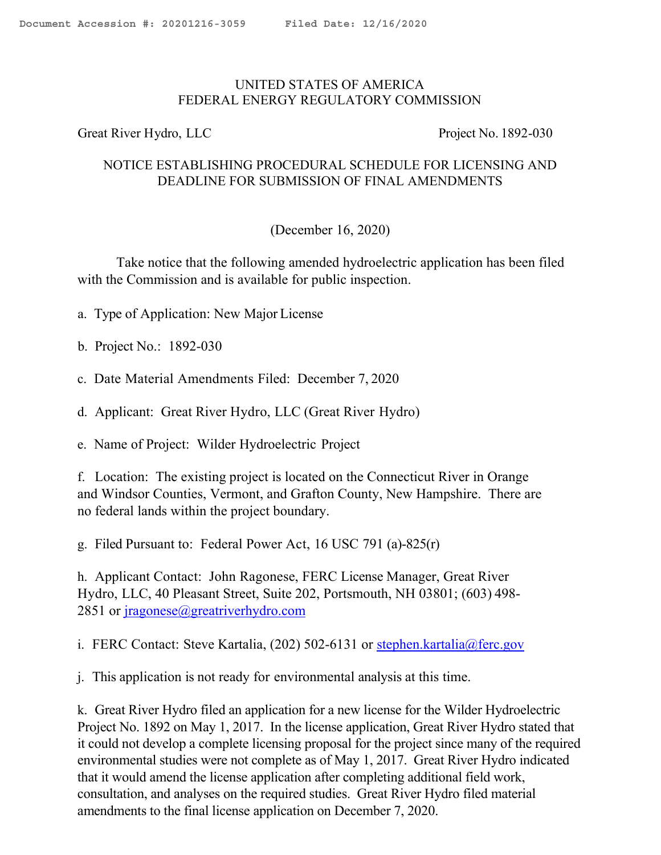## UNITED STATES OF AMERICA FEDERAL ENERGY REGULATORY COMMISSION

Great River Hydro, LLC Project No. 1892-030

## NOTICE ESTABLISHING PROCEDURAL SCHEDULE FOR LICENSING AND DEADLINE FOR SUBMISSION OF FINAL AMENDMENTS

(December 16, 2020)

Take notice that the following amended hydroelectric application has been filed with the Commission and is available for public inspection.

- a. Type of Application: New Major License
- b. Project No.: 1892-030
- c. Date Material Amendments Filed: December 7, 2020
- d. Applicant: Great River Hydro, LLC (Great River Hydro)
- e. Name of Project: Wilder Hydroelectric Project

f. Location: The existing project is located on the Connecticut River in Orange and Windsor Counties, Vermont, and Grafton County, New Hampshire. There are no federal lands within the project boundary.

g. Filed Pursuant to: Federal Power Act, 16 USC 791 (a)-825(r)

h. Applicant Contact: John Ragonese, FERC License Manager, Great River Hydro, LLC, 40 Pleasant Street, Suite 202, Portsmouth, NH 03801; (603) 498- 2851 or jragonese@greatriverhydro.com

i. FERC Contact: Steve Kartalia,  $(202)$  502-6131 or stephen.kartalia@ferc.gov

j. This application is not ready for environmental analysis at this time.

k. Great River Hydro filed an application for a new license for the Wilder Hydroelectric Project No. 1892 on May 1, 2017. In the license application, Great River Hydro stated that it could not develop a complete licensing proposal for the project since many of the required environmental studies were not complete as of May 1, 2017. Great River Hydro indicated that it would amend the license application after completing additional field work, consultation, and analyses on the required studies. Great River Hydro filed material amendments to the final license application on December 7, 2020.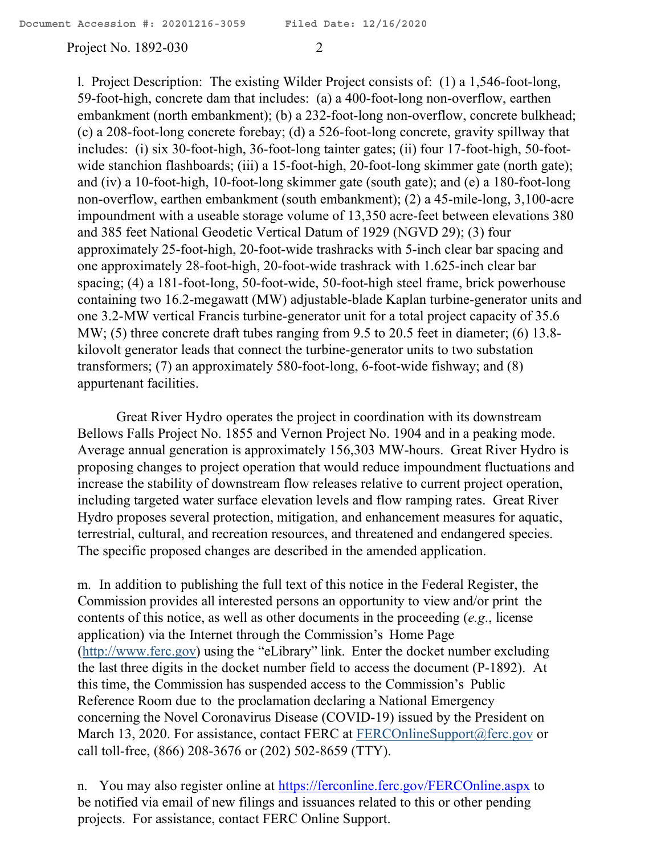Project No. 1892-030 2

l. Project Description: The existing Wilder Project consists of: (1) a 1,546-foot-long, 59-foot-high, concrete dam that includes: (a) a 400-foot-long non-overflow, earthen embankment (north embankment); (b) a 232-foot-long non-overflow, concrete bulkhead; (c) a 208-foot-long concrete forebay; (d) a 526-foot-long concrete, gravity spillway that includes: (i) six 30-foot-high, 36-foot-long tainter gates; (ii) four 17-foot-high, 50-footwide stanchion flashboards; (iii) a 15-foot-high, 20-foot-long skimmer gate (north gate); and (iv) a 10-foot-high, 10-foot-long skimmer gate (south gate); and (e) a 180-foot-long non-overflow, earthen embankment (south embankment); (2) a 45-mile-long, 3,100-acre impoundment with a useable storage volume of 13,350 acre-feet between elevations 380 and 385 feet National Geodetic Vertical Datum of 1929 (NGVD 29); (3) four approximately 25-foot-high, 20-foot-wide trashracks with 5-inch clear bar spacing and one approximately 28-foot-high, 20-foot-wide trashrack with 1.625-inch clear bar spacing; (4) a 181-foot-long, 50-foot-wide, 50-foot-high steel frame, brick powerhouse containing two 16.2-megawatt (MW) adjustable-blade Kaplan turbine-generator units and one 3.2-MW vertical Francis turbine-generator unit for a total project capacity of 35.6 MW; (5) three concrete draft tubes ranging from 9.5 to 20.5 feet in diameter; (6) 13.8kilovolt generator leads that connect the turbine-generator units to two substation transformers; (7) an approximately 580-foot-long, 6-foot-wide fishway; and (8) appurtenant facilities.

Great River Hydro operates the project in coordination with its downstream Bellows Falls Project No. 1855 and Vernon Project No. 1904 and in a peaking mode. Average annual generation is approximately 156,303 MW-hours. Great River Hydro is proposing changes to project operation that would reduce impoundment fluctuations and increase the stability of downstream flow releases relative to current project operation, including targeted water surface elevation levels and flow ramping rates. Great River Hydro proposes several protection, mitigation, and enhancement measures for aquatic, terrestrial, cultural, and recreation resources, and threatened and endangered species. The specific proposed changes are described in the amended application.

m. In addition to publishing the full text of this notice in the Federal Register, the Commission provides all interested persons an opportunity to view and/or print the contents of this notice, as well as other documents in the proceeding (*e.g*., license application) via the Internet through the Commission's Home Page (http://www.ferc.gov) using the "eLibrary" link. Enter the docket number excluding the last three digits in the docket number field to access the document (P-1892). At this time, the Commission has suspended access to the Commission's Public Reference Room due to the proclamation declaring a National Emergency concerning the Novel Coronavirus Disease (COVID-19) issued by the President on March 13, 2020. For assistance, contact FERC at FERCOnlineSupport@ferc.gov or call toll-free, (866) 208-3676 or (202) 502-8659 (TTY).

n. You may also register online at https://ferconline.ferc.gov/FERCOnline.aspx to be notified via email of new filings and issuances related to this or other pending projects. For assistance, contact FERC Online Support.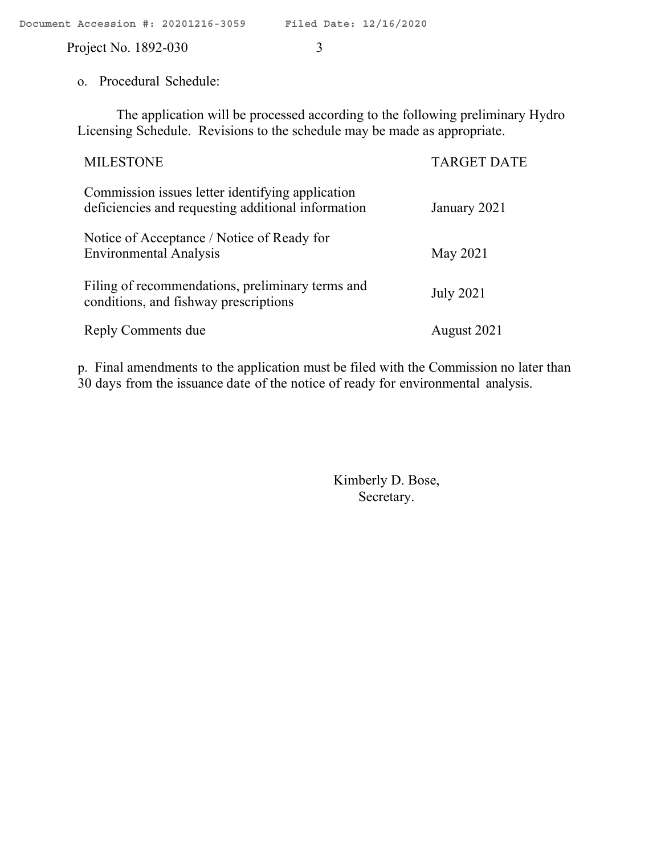Project No. 1892-030 3

o. Procedural Schedule:

The application will be processed according to the following preliminary Hydro Licensing Schedule. Revisions to the schedule may be made as appropriate.

| <b>MILESTONE</b>                                                                                       | <b>TARGET DATE</b> |
|--------------------------------------------------------------------------------------------------------|--------------------|
| Commission issues letter identifying application<br>deficiencies and requesting additional information | January 2021       |
| Notice of Acceptance / Notice of Ready for<br><b>Environmental Analysis</b>                            | May 2021           |
| Filing of recommendations, preliminary terms and<br>conditions, and fishway prescriptions              | <b>July 2021</b>   |
| Reply Comments due                                                                                     | August 2021        |

p. Final amendments to the application must be filed with the Commission no later than 30 days from the issuance date of the notice of ready for environmental analysis.

> Kimberly D. Bose, Secretary.